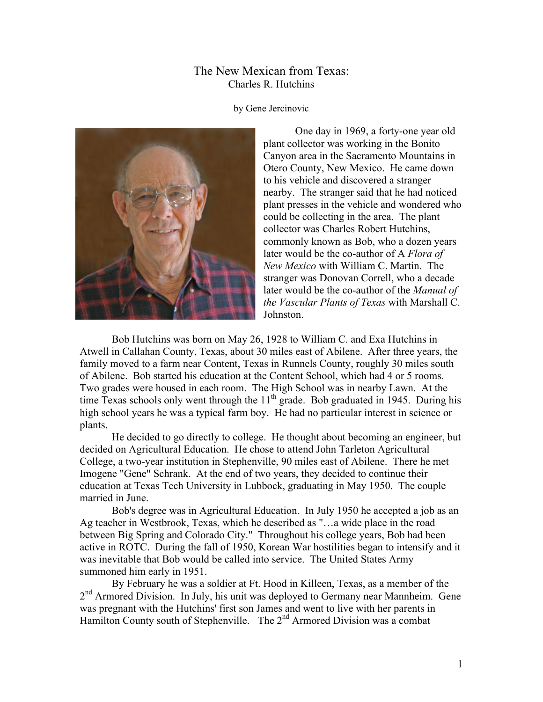## The New Mexican from Texas: Charles R. Hutchins

by Gene Jercinovic



One day in 1969, a forty-one year old plant collector was working in the Bonito Canyon area in the Sacramento Mountains in Otero County, New Mexico. He came down to his vehicle and discovered a stranger nearby. The stranger said that he had noticed plant presses in the vehicle and wondered who could be collecting in the area. The plant collector was Charles Robert Hutchins, commonly known as Bob, who a dozen years later would be the co-author of A *Flora of New Mexico* with William C. Martin. The stranger was Donovan Correll, who a decade later would be the co-author of the *Manual of the Vascular Plants of Texas* with Marshall C. Johnston.

Bob Hutchins was born on May 26, 1928 to William C. and Exa Hutchins in Atwell in Callahan County, Texas, about 30 miles east of Abilene. After three years, the family moved to a farm near Content, Texas in Runnels County, roughly 30 miles south of Abilene. Bob started his education at the Content School, which had 4 or 5 rooms. Two grades were housed in each room. The High School was in nearby Lawn. At the time Texas schools only went through the  $11<sup>th</sup>$  grade. Bob graduated in 1945. During his high school years he was a typical farm boy. He had no particular interest in science or plants.

He decided to go directly to college. He thought about becoming an engineer, but decided on Agricultural Education. He chose to attend John Tarleton Agricultural College, a two-year institution in Stephenville, 90 miles east of Abilene. There he met Imogene "Gene" Schrank. At the end of two years, they decided to continue their education at Texas Tech University in Lubbock, graduating in May 1950. The couple married in June.

Bob's degree was in Agricultural Education. In July 1950 he accepted a job as an Ag teacher in Westbrook, Texas, which he described as "…a wide place in the road between Big Spring and Colorado City." Throughout his college years, Bob had been active in ROTC. During the fall of 1950, Korean War hostilities began to intensify and it was inevitable that Bob would be called into service. The United States Army summoned him early in 1951.

By February he was a soldier at Ft. Hood in Killeen, Texas, as a member of the 2<sup>nd</sup> Armored Division. In July, his unit was deployed to Germany near Mannheim. Gene was pregnant with the Hutchins' first son James and went to live with her parents in Hamilton County south of Stephenville. The  $2<sup>nd</sup>$  Armored Division was a combat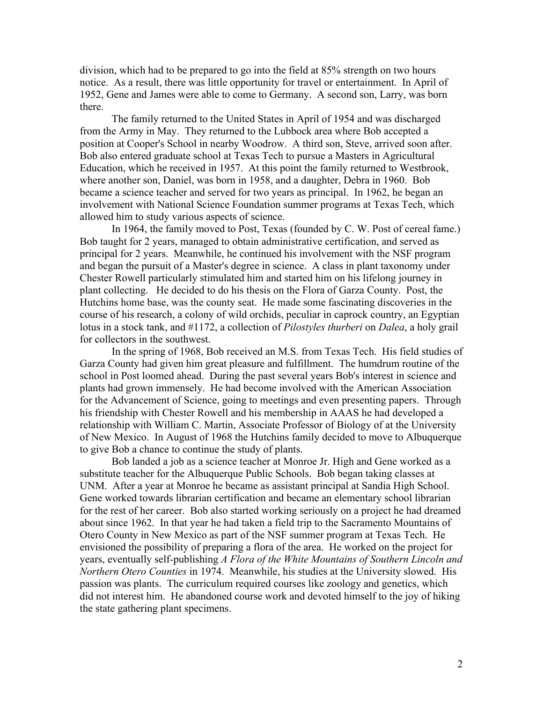division, which had to be prepared to go into the field at 85% strength on two hours notice. As a result, there was little opportunity for travel or entertainment. In April of 1952, Gene and James were able to come to Germany. A second son, Larry, was born there.

The family returned to the United States in April of 1954 and was discharged from the Army in May. They returned to the Lubbock area where Bob accepted a position at Cooper's School in nearby Woodrow. A third son, Steve, arrived soon after. Bob also entered graduate school at Texas Tech to pursue a Masters in Agricultural Education, which he received in 1957. At this point the family returned to Westbrook, where another son, Daniel, was born in 1958, and a daughter, Debra in 1960. Bob became a science teacher and served for two years as principal. In 1962, he began an involvement with National Science Foundation summer programs at Texas Tech, which allowed him to study various aspects of science.

In 1964, the family moved to Post, Texas (founded by C. W. Post of cereal fame.) Bob taught for 2 years, managed to obtain administrative certification, and served as principal for 2 years. Meanwhile, he continued his involvement with the NSF program and began the pursuit of a Master's degree in science. A class in plant taxonomy under Chester Rowell particularly stimulated him and started him on his lifelong journey in plant collecting. He decided to do his thesis on the Flora of Garza County. Post, the Hutchins home base, was the county seat. He made some fascinating discoveries in the course of his research, a colony of wild orchids, peculiar in caprock country, an Egyptian lotus in a stock tank, and #1172, a collection of *Pilostyles thurberi* on *Dalea*, a holy grail for collectors in the southwest.

In the spring of 1968, Bob received an M.S. from Texas Tech. His field studies of Garza County had given him great pleasure and fulfillment. The humdrum routine of the school in Post loomed ahead. During the past several years Bob's interest in science and plants had grown immensely. He had become involved with the American Association for the Advancement of Science, going to meetings and even presenting papers. Through his friendship with Chester Rowell and his membership in AAAS he had developed a relationship with William C. Martin, Associate Professor of Biology of at the University of New Mexico. In August of 1968 the Hutchins family decided to move to Albuquerque to give Bob a chance to continue the study of plants.

Bob landed a job as a science teacher at Monroe Jr. High and Gene worked as a substitute teacher for the Albuquerque Public Schools. Bob began taking classes at UNM. After a year at Monroe he became as assistant principal at Sandia High School. Gene worked towards librarian certification and became an elementary school librarian for the rest of her career. Bob also started working seriously on a project he had dreamed about since 1962. In that year he had taken a field trip to the Sacramento Mountains of Otero County in New Mexico as part of the NSF summer program at Texas Tech. He envisioned the possibility of preparing a flora of the area. He worked on the project for years, eventually self-publishing *A Flora of the White Mountains of Southern Lincoln and Northern Otero Counties* in 1974. Meanwhile, his studies at the University slowed. His passion was plants. The curriculum required courses like zoology and genetics, which did not interest him. He abandoned course work and devoted himself to the joy of hiking the state gathering plant specimens.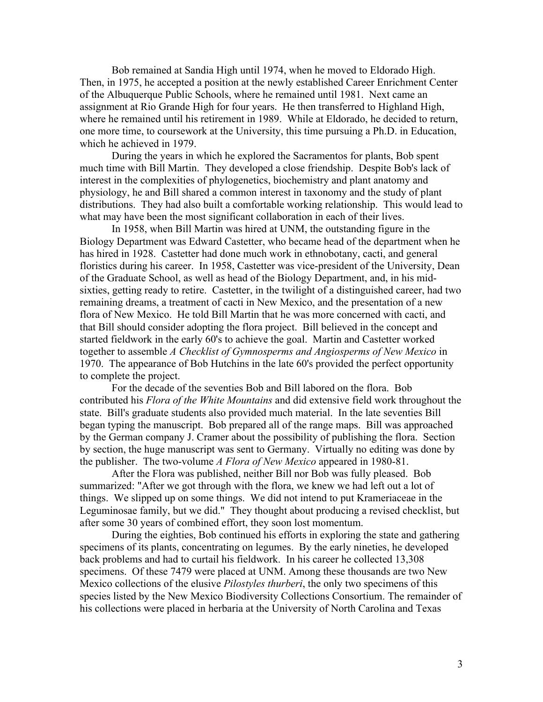Bob remained at Sandia High until 1974, when he moved to Eldorado High. Then, in 1975, he accepted a position at the newly established Career Enrichment Center of the Albuquerque Public Schools, where he remained until 1981. Next came an assignment at Rio Grande High for four years. He then transferred to Highland High, where he remained until his retirement in 1989. While at Eldorado, he decided to return, one more time, to coursework at the University, this time pursuing a Ph.D. in Education, which he achieved in 1979.

During the years in which he explored the Sacramentos for plants, Bob spent much time with Bill Martin. They developed a close friendship. Despite Bob's lack of interest in the complexities of phylogenetics, biochemistry and plant anatomy and physiology, he and Bill shared a common interest in taxonomy and the study of plant distributions. They had also built a comfortable working relationship. This would lead to what may have been the most significant collaboration in each of their lives.

In 1958, when Bill Martin was hired at UNM, the outstanding figure in the Biology Department was Edward Castetter, who became head of the department when he has hired in 1928. Castetter had done much work in ethnobotany, cacti, and general floristics during his career. In 1958, Castetter was vice-president of the University, Dean of the Graduate School, as well as head of the Biology Department, and, in his midsixties, getting ready to retire. Castetter, in the twilight of a distinguished career, had two remaining dreams, a treatment of cacti in New Mexico, and the presentation of a new flora of New Mexico. He told Bill Martin that he was more concerned with cacti, and that Bill should consider adopting the flora project. Bill believed in the concept and started fieldwork in the early 60's to achieve the goal. Martin and Castetter worked together to assemble *A Checklist of Gymnosperms and Angiosperms of New Mexico* in 1970. The appearance of Bob Hutchins in the late 60's provided the perfect opportunity to complete the project.

For the decade of the seventies Bob and Bill labored on the flora. Bob contributed his *Flora of the White Mountains* and did extensive field work throughout the state. Bill's graduate students also provided much material. In the late seventies Bill began typing the manuscript. Bob prepared all of the range maps. Bill was approached by the German company J. Cramer about the possibility of publishing the flora. Section by section, the huge manuscript was sent to Germany. Virtually no editing was done by the publisher. The two-volume *A Flora of New Mexico* appeared in 1980-81.

After the Flora was published, neither Bill nor Bob was fully pleased. Bob summarized: "After we got through with the flora, we knew we had left out a lot of things. We slipped up on some things. We did not intend to put Krameriaceae in the Leguminosae family, but we did." They thought about producing a revised checklist, but after some 30 years of combined effort, they soon lost momentum.

During the eighties, Bob continued his efforts in exploring the state and gathering specimens of its plants, concentrating on legumes. By the early nineties, he developed back problems and had to curtail his fieldwork. In his career he collected 13,308 specimens. Of these 7479 were placed at UNM. Among these thousands are two New Mexico collections of the elusive *Pilostyles thurberi*, the only two specimens of this species listed by the New Mexico Biodiversity Collections Consortium. The remainder of his collections were placed in herbaria at the University of North Carolina and Texas